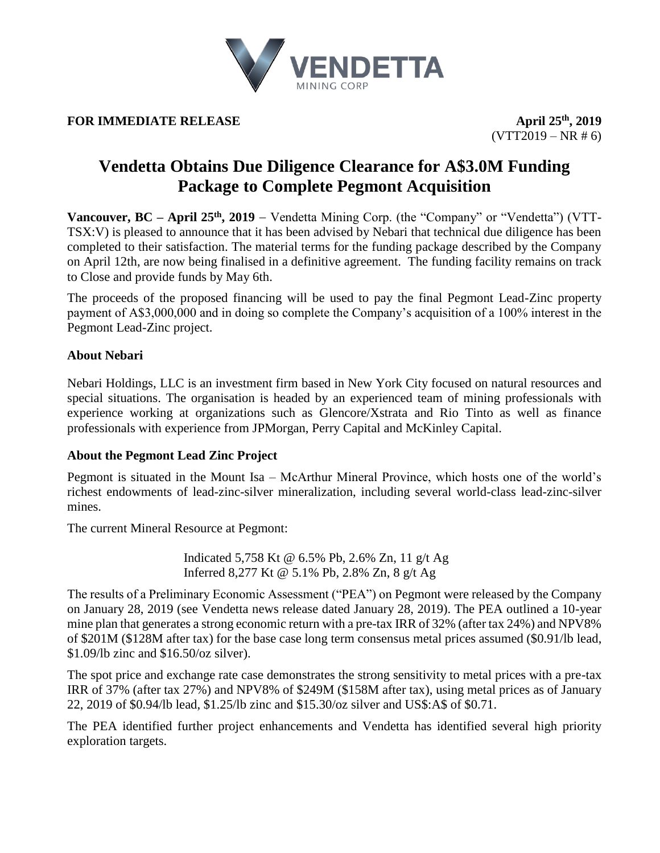

# **FOR IMMEDIATE RELEASE April**  $25^{\text{th}}$ , 2019

 $(VTT2019 - NR # 6)$ 

# **Vendetta Obtains Due Diligence Clearance for A\$3.0M Funding Package to Complete Pegmont Acquisition**

**Vancouver, BC – April 25 th, 2019** − Vendetta Mining Corp. (the "Company" or "Vendetta") (VTT-TSX:V) is pleased to announce that it has been advised by Nebari that technical due diligence has been completed to their satisfaction. The material terms for the funding package described by the Company on April 12th, are now being finalised in a definitive agreement. The funding facility remains on track to Close and provide funds by May 6th.

The proceeds of the proposed financing will be used to pay the final Pegmont Lead-Zinc property payment of A\$3,000,000 and in doing so complete the Company's acquisition of a 100% interest in the Pegmont Lead-Zinc project.

# **About Nebari**

Nebari Holdings, LLC is an investment firm based in New York City focused on natural resources and special situations. The organisation is headed by an experienced team of mining professionals with experience working at organizations such as Glencore/Xstrata and Rio Tinto as well as finance professionals with experience from JPMorgan, Perry Capital and McKinley Capital.

# **About the Pegmont Lead Zinc Project**

Pegmont is situated in the Mount Isa – McArthur Mineral Province, which hosts one of the world's richest endowments of lead-zinc-silver mineralization, including several world-class lead-zinc-silver mines.

The current Mineral Resource at Pegmont:

Indicated 5,758 Kt @ 6.5% Pb, 2.6% Zn, 11 g/t Ag Inferred 8,277 Kt @ 5.1% Pb, 2.8% Zn, 8 g/t Ag

The results of a Preliminary Economic Assessment ("PEA") on Pegmont were released by the Company on January 28, 2019 (see Vendetta news release dated January 28, 2019). The PEA outlined a 10-year mine plan that generates a strong economic return with a pre-tax IRR of 32% (after tax 24%) and NPV8% of \$201M (\$128M after tax) for the base case long term consensus metal prices assumed (\$0.91/lb lead, \$1.09/lb zinc and \$16.50/oz silver).

The spot price and exchange rate case demonstrates the strong sensitivity to metal prices with a pre-tax IRR of 37% (after tax 27%) and NPV8% of \$249M (\$158M after tax), using metal prices as of January 22, 2019 of \$0.94/lb lead, \$1.25/lb zinc and \$15.30/oz silver and US\$:A\$ of \$0.71.

The PEA identified further project enhancements and Vendetta has identified several high priority exploration targets.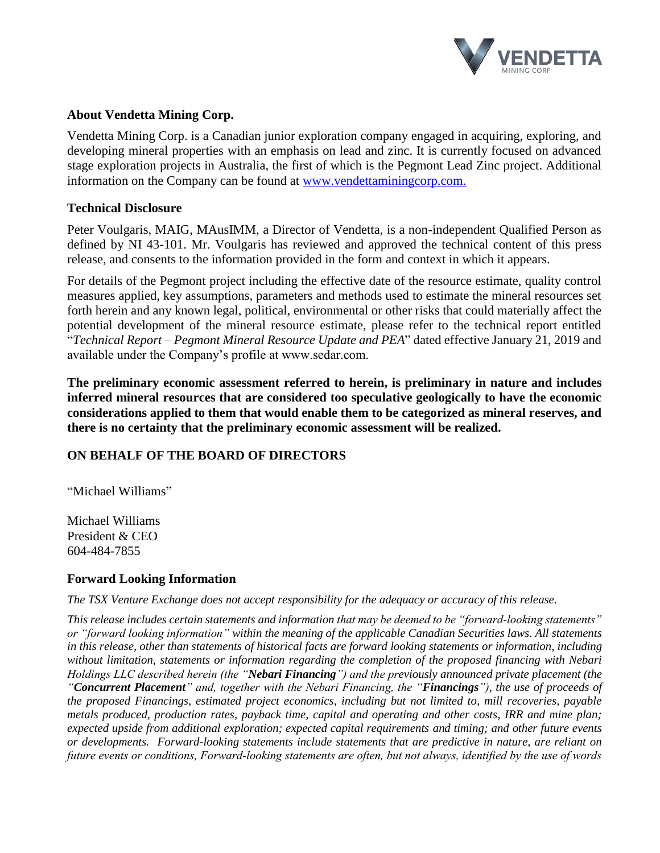

### **About Vendetta Mining Corp.**

Vendetta Mining Corp. is a Canadian junior exploration company engaged in acquiring, exploring, and developing mineral properties with an emphasis on lead and zinc. It is currently focused on advanced stage exploration projects in Australia, the first of which is the Pegmont Lead Zinc project. Additional information on the Company can be found at [www.vendettaminingcorp.com.](http://www.vendettaminingcorp.com/)

#### **Technical Disclosure**

Peter Voulgaris, MAIG, MAusIMM, a Director of Vendetta, is a non-independent Qualified Person as defined by NI 43-101. Mr. Voulgaris has reviewed and approved the technical content of this press release, and consents to the information provided in the form and context in which it appears.

For details of the Pegmont project including the effective date of the resource estimate, quality control measures applied, key assumptions, parameters and methods used to estimate the mineral resources set forth herein and any known legal, political, environmental or other risks that could materially affect the potential development of the mineral resource estimate, please refer to the technical report entitled "*Technical Report – Pegmont Mineral Resource Update and PEA*" dated effective January 21, 2019 and available under the Company's profile at www.sedar.com.

**The preliminary economic assessment referred to herein, is preliminary in nature and includes inferred mineral resources that are considered too speculative geologically to have the economic considerations applied to them that would enable them to be categorized as mineral reserves, and there is no certainty that the preliminary economic assessment will be realized.**

## **ON BEHALF OF THE BOARD OF DIRECTORS**

"Michael Williams"

Michael Williams President & CEO 604-484-7855

#### **Forward Looking Information**

*The TSX Venture Exchange does not accept responsibility for the adequacy or accuracy of this release.*

*This release includes certain statements and information that may be deemed to be "forward‐looking statements" or "forward looking information" within the meaning of the applicable Canadian Securities laws. All statements in this release, other than statements of historical facts are forward looking statements or information, including without limitation, statements or information regarding the completion of the proposed financing with Nebari Holdings LLC described herein (the "Nebari Financing") and the previously announced private placement (the "Concurrent Placement" and, together with the Nebari Financing, the "Financings"), the use of proceeds of the proposed Financings, estimated project economics, including but not limited to, mill recoveries, payable metals produced, production rates, payback time, capital and operating and other costs, IRR and mine plan; expected upside from additional exploration; expected capital requirements and timing; and other future events or developments. Forward-looking statements include statements that are predictive in nature, are reliant on future events or conditions, Forward‐looking statements are often, but not always, identified by the use of words*